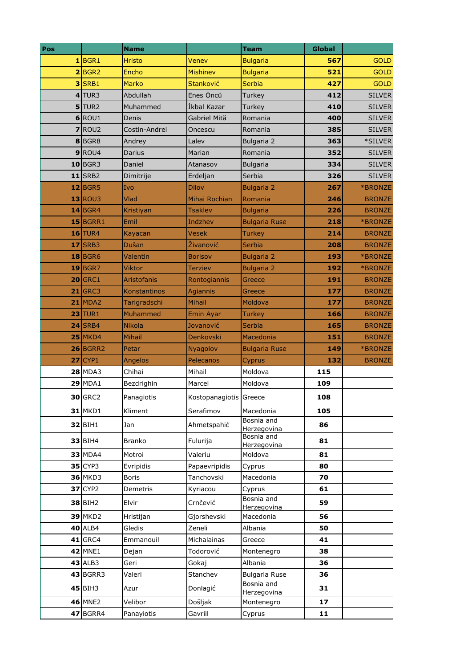| Pos |                       | <b>Name</b>         |                        | <b>Team</b>                        | <b>Global</b> |                          |
|-----|-----------------------|---------------------|------------------------|------------------------------------|---------------|--------------------------|
|     | 1 BGR1                | <b>Hristo</b>       | Venev                  | <b>Bulgaria</b>                    | 567           | <b>GOLD</b>              |
|     | 2 BGR2                | Encho               | <b>Mishinev</b>        | <b>Bulgaria</b>                    | 521           | <b>GOLD</b>              |
|     | $3$ SRB1              | <b>Marko</b>        | Stanković              | <b>Serbia</b>                      | 427           | <b>GOLD</b>              |
|     | $4$ TUR3              | Abdullah            | Enes Öncü              | Turkey                             | 412           | <b>SILVER</b>            |
|     | $5$ TUR2              | Muhammed            | İkbal Kazar            | <b>Turkey</b>                      | 410           | <b>SILVER</b>            |
|     | $6$ ROU1              | Denis               | Gabriel Mită           | Romania                            | 400           | <b>SILVER</b>            |
|     | $7$ ROU <sub>2</sub>  | Costin-Andrei       | Oncescu                | Romania                            | 385           | <b>SILVER</b>            |
|     | 8BGR8                 | Andrey              | Lalev                  | Bulgaria 2                         | 363           | *SILVER                  |
|     | $9$ ROU4              | Darius              | Marian                 | Romania                            | 352           | <b>SILVER</b>            |
|     | $10$ BGR3             | Daniel              | Atanasov               | <b>Bulgaria</b>                    | 334           | <b>SILVER</b>            |
|     | $11$ SRB2             | Dimitrije           | Erdeljan               | Serbia                             | 326           | <b>SILVER</b>            |
|     | $12$ BGR5             | Ivo                 | <b>Dilov</b>           | <b>Bulgaria 2</b>                  | 267           | *BRONZE                  |
|     | $13$ ROU3             | Vlad                | Mihai Rochian          | Romania                            | 246           | <b>BRONZE</b>            |
|     | $14$ BGR4             | Kristiyan           | <b>Tsaklev</b>         | <b>Bulgaria</b>                    | 226           | <b>BRONZE</b>            |
|     | $15$ BGRR1            | Emil                | Indzhev                | <b>Bulgaria Ruse</b>               | 218           | *BRONZE                  |
|     | $16$ TUR4             | Kayacan             | <b>Vesek</b>           | Turkey                             | 214           | <b>BRONZE</b>            |
|     | 17 SRB3               | Dušan               | Živanović              | Serbia                             | 208           | <b>BRONZE</b>            |
|     | $18$ BGR6             | Valentin            | <b>Borisov</b>         | <b>Bulgaria 2</b>                  | 193           | *BRONZE                  |
|     | $19$ BGR7             | <b>Viktor</b>       | <b>Terziev</b>         | <b>Bulgaria 2</b>                  | 192           | *BRONZE                  |
|     | $20$ GRC1             | <b>Aristofanis</b>  | Rontogiannis           | Greece                             | 191           | <b>BRONZE</b>            |
|     | $21$ GRC3             | <b>Konstantinos</b> | <b>Agiannis</b>        | Greece                             | 177           | <b>BRONZE</b>            |
|     | $21$ MDA2             | Tarigradschi        | Mihail                 | Moldova                            | 177           | <b>BRONZE</b>            |
|     | $23$ TUR1             | Muhammed            | <b>Emin Ayar</b>       | Turkey                             | 166           | <b>BRONZE</b>            |
|     | 24 SRB4               | <b>Nikola</b>       | Jovanović              | <b>Serbia</b>                      | 165           | <b>BRONZE</b>            |
|     | $25$ MKD4             | <b>Mihail</b>       | Denkovski              | Macedonia                          | 151           | <b>BRONZE</b>            |
|     | 26 BGRR2<br>$27$ CYP1 | Petar               | Nyagolov<br>Pelecanos  | <b>Bulgaria Ruse</b>               | 149<br>132    | *BRONZE<br><b>BRONZE</b> |
|     | <b>28 MDA3</b>        | Angelos<br>Chihai   | Mihail                 | Cyprus<br>Moldova                  | 115           |                          |
|     | <b>29 MDA1</b>        | Bezdrighin          | Marcel                 | Moldova                            | 109           |                          |
|     |                       |                     |                        |                                    |               |                          |
|     | 30 GRC2               | Panagiotis          | Kostopanagiotis Greece |                                    | 108           |                          |
|     | <b>31 MKD1</b>        | Kliment             | Serafimov              | Macedonia                          | 105           |                          |
|     | 32 BIH1               | Jan                 | Ahmetspahić            | Bosnia and<br>Herzegovina          | 86            |                          |
|     | <b>33 BIH4</b>        | <b>Branko</b>       | Fulurija               | Bosnia and                         | 81            |                          |
|     | <b>33 MDA4</b>        | Motroi              | Valeriu                | Herzegovina<br>Moldova             | 81            |                          |
|     | $35$ CYP3             | Evripidis           | Papaevripidis          | Cyprus                             | 80            |                          |
|     | <b>36 MKD3</b>        | Boris               | Tanchovski             | Macedonia                          | 70            |                          |
|     | <b>37 CYP2</b>        | Demetris            | Kyriacou               | Cyprus                             | 61            |                          |
|     |                       | Elvir               | Crnčević               | Bosnia and                         | 59            |                          |
|     | <b>38 BIH2</b>        |                     |                        | Herzegovina                        |               |                          |
|     | <b>39 MKD2</b>        | Hristijan           | Gjorshevski            | Macedonia                          | 56            |                          |
|     | <b>40 ALB4</b>        | Gledis              | Zeneli                 | Albania                            | 50            |                          |
|     | <b>41 GRC4</b>        | Emmanouil           | Michalainas            | Greece                             | 41            |                          |
|     | <b>42 MNE1</b>        | Dejan               | Todorović              | Montenegro                         | 38            |                          |
|     | <b>43 ALB3</b>        | Geri                | Gokaj                  | Albania                            | 36            |                          |
|     | <b>43 BGRR3</b>       | Valeri              | Stanchev               | <b>Bulgaria Ruse</b><br>Bosnia and | 36            |                          |
|     | 45 BIH3               | Azur                | Đonlagić               | Herzegovina                        | 31            |                          |
|     | <b>46 MNE2</b>        | Velibor             | Došljak                | Montenegro                         | 17            |                          |
|     | 47 BGRR4              | Panayiotis          | Gavriil                | Cyprus                             | 11            |                          |